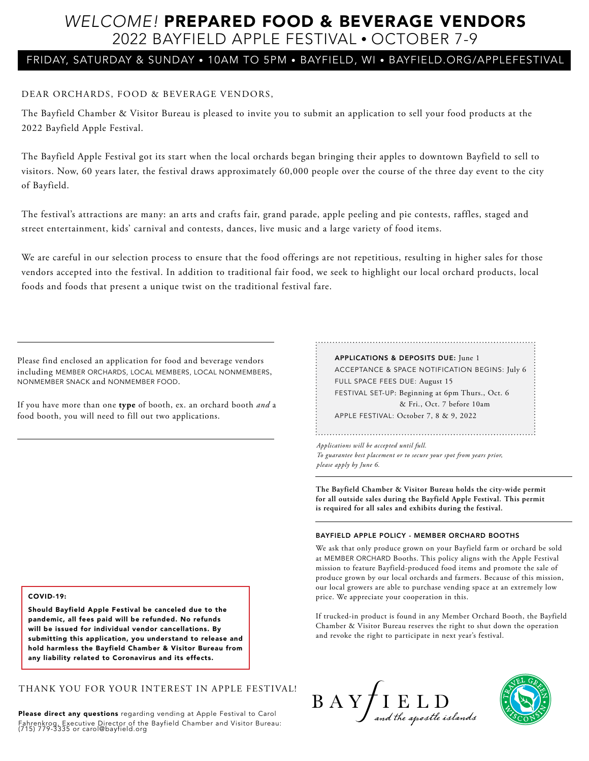# *WELCOME!* PREPARED FOOD & BEVERAGE VENDORS 2022 BAYFIELD APPLE FESTIVAL • OCTOBER 7-9

## FRIDAY, SATURDAY & SUNDAY • 10AM TO 5PM • BAYFIELD, WI • BAYFIELD.ORG/APPLEFESTIVAL

### DEAR ORCHARDS, FOOD & BEVERAGE VENDORS,

The Bayfield Chamber & Visitor Bureau is pleased to invite you to submit an application to sell your food products at the 2022 Bayfield Apple Festival.

The Bayfield Apple Festival got its start when the local orchards began bringing their apples to downtown Bayfield to sell to visitors. Now, 60 years later, the festival draws approximately 60,000 people over the course of the three day event to the city of Bayfield.

The festival's attractions are many: an arts and crafts fair, grand parade, apple peeling and pie contests, raffles, staged and street entertainment, kids' carnival and contests, dances, live music and a large variety of food items.

We are careful in our selection process to ensure that the food offerings are not repetitious, resulting in higher sales for those vendors accepted into the festival. In addition to traditional fair food, we seek to highlight our local orchard products, local foods and foods that present a unique twist on the traditional festival fare.

Please find enclosed an application for food and beverage vendors including MEMBER ORCHARDS, LOCAL MEMBERS, LOCAL NONMEMBERS, NONMEMBER SNACK and NONMEMBER FOOD.

If you have more than one **type** of booth, ex. an orchard booth *and* a food booth, you will need to fill out two applications.

### APPLICATIONS & DEPOSITS DUE: June 1 ACCEPTANCE & SPACE NOTIFICATION BEGINS: July 6 FULL SPACE FEES DUE: August 15 FESTIVAL SET-UP: Beginning at 6pm Thurs., Oct. 6 & Fri., Oct. 7 before 10am APPLE FESTIVAL: October 7, 8 & 9, 2022

*Applications will be accepted until full. To guarantee best placement or to secure your spot from years prior, please apply by June 6.*

**The Bayfield Chamber & Visitor Bureau holds the city-wide permit for all outside sales during the Bayfield Apple Festival. This permit is required for all sales and exhibits during the festival.**

#### BAYFIELD APPLE POLICY - MEMBER ORCHARD BOOTHS

We ask that only produce grown on your Bayfield farm or orchard be sold at MEMBER ORCHARD Booths. This policy aligns with the Apple Festival mission to feature Bayfield-produced food items and promote the sale of produce grown by our local orchards and farmers. Because of this mission, our local growers are able to purchase vending space at an extremely low price. We appreciate your cooperation in this.

If trucked-in product is found in any Member Orchard Booth, the Bayfield Chamber & Visitor Bureau reserves the right to shut down the operation and revoke the right to participate in next year's festival.

#### COVID-19:

Should Bayfield Apple Festival be canceled due to the pandemic, all fees paid will be refunded. No refunds will be issued for individual vendor cancellations. By submitting this application, you understand to release and hold harmless the Bayfield Chamber & Visitor Bureau from any liability related to Coronavirus and its effects.

THANK YOU FOR YOUR INTEREST IN APPLE FESTIVAL!

Please direct any questions regarding vending at Apple Festival to Carol Fahrenkrog, Executive Director of the Bayfield Chamber and Visitor Bureau: (715) 779-3335 or carol@bayfield.org



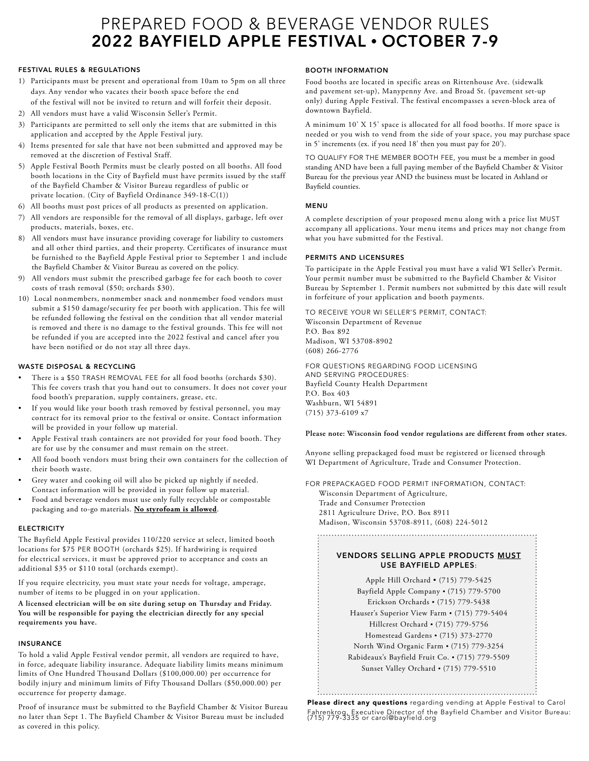# PREPARED FOOD & BEVERAGE VENDOR RULES 2022 BAYFIELD APPLE FESTIVAL • OCTOBER 7-9

#### FESTIVAL RULES & REGULATIONS

- 1) Participants must be present and operational from 10am to 5pm on all three days. Any vendor who vacates their booth space before the end of the festival will not be invited to return and will forfeit their deposit.
- 2) All vendors must have a valid Wisconsin Seller's Permit.
- 3) Participants are permitted to sell only the items that are submitted in this application and accepted by the Apple Festival jury.
- 4) Items presented for sale that have not been submitted and approved may be removed at the discretion of Festival Staff.
- 5) Apple Festival Booth Permits must be clearly posted on all booths. All food booth locations in the City of Bayfield must have permits issued by the staff of the Bayfield Chamber & Visitor Bureau regardless of public or private location. (City of Bayfield Ordinance 349-18-C(1))
- 6) All booths must post prices of all products as presented on application.
- 7) All vendors are responsible for the removal of all displays, garbage, left over products, materials, boxes, etc.
- 8) All vendors must have insurance providing coverage for liability to customers and all other third parties, and their property. Certificates of insurance must be furnished to the Bayfield Apple Festival prior to September 1 and include the Bayfield Chamber & Visitor Bureau as covered on the policy.
- 9) All vendors must submit the prescribed garbage fee for each booth to cover costs of trash removal (\$50; orchards \$30).
- 10) Local nonmembers, nonmember snack and nonmember food vendors must submit a \$150 damage/security fee per booth with application. This fee will be refunded following the festival on the condition that all vendor material is removed and there is no damage to the festival grounds. This fee will not be refunded if you are accepted into the 2022 festival and cancel after you have been notified or do not stay all three days.

#### WASTE DISPOSAL & RECYCLING

- There is a \$50 TRASH REMOVAL FEE for all food booths (orchards \$30). This fee covers trash that you hand out to consumers. It does not cover your food booth's preparation, supply containers, grease, etc.
- If you would like your booth trash removed by festival personnel, you may contract for its removal prior to the festival or onsite. Contact information will be provided in your follow up material.
- Apple Festival trash containers are not provided for your food booth. They are for use by the consumer and must remain on the street.
- All food booth vendors must bring their own containers for the collection of their booth waste.
- Grey water and cooking oil will also be picked up nightly if needed. Contact information will be provided in your follow up material.
- Food and beverage vendors must use only fully recyclable or compostable packaging and to-go materials. **No styrofoam is allowed**.

#### **ELECTRICITY**

The Bayfield Apple Festival provides 110/220 service at select, limited booth locations for \$75 PER BOOTH (orchards \$25). If hardwiring is required for electrical services, it must be approved prior to acceptance and costs an additional \$35 or \$110 total (orchards exempt).

If you require electricity, you must state your needs for voltage, amperage, number of items to be plugged in on your application.

**A licensed electrician will be on site during setup on Thursday and Friday. You will be responsible for paying the electrician directly for any special requirements you have.**

#### INSURANCE

To hold a valid Apple Festival vendor permit, all vendors are required to have, in force, adequate liability insurance. Adequate liability limits means minimum limits of One Hundred Thousand Dollars (\$100,000.00) per occurrence for bodily injury and minimum limits of Fifty Thousand Dollars (\$50,000.00) per occurrence for property damage.

Proof of insurance must be submitted to the Bayfield Chamber & Visitor Bureau no later than Sept 1. The Bayfield Chamber & Visitor Bureau must be included as covered in this policy.

#### BOOTH INFORMATION

Food booths are located in specific areas on Rittenhouse Ave. (sidewalk and pavement set-up), Manypenny Ave. and Broad St. (pavement set-up only) during Apple Festival. The festival encompasses a seven-block area of downtown Bayfield.

A minimum 10' X 15' space is allocated for all food booths. If more space is needed or you wish to vend from the side of your space, you may purchase space in 5' increments (ex. if you need 18' then you must pay for 20').

TO QUALIFY FOR THE MEMBER BOOTH FEE, you must be a member in good standing AND have been a full paying member of the Bayfield Chamber & Visitor Bureau for the previous year AND the business must be located in Ashland or Bayfield counties.

#### MENU

A complete description of your proposed menu along with a price list MUST accompany all applications. Your menu items and prices may not change from what you have submitted for the Festival.

#### PERMITS AND LICENSURES

To participate in the Apple Festival you must have a valid WI Seller's Permit. Your permit number must be submitted to the Bayfield Chamber & Visitor Bureau by September 1. Permit numbers not submitted by this date will result in forfeiture of your application and booth payments.

TO RECEIVE YOUR WI SELLER'S PERMIT, CONTACT: Wisconsin Department of Revenue P.O. Box 892 Madison, WI 53708-8902 (608) 266-2776

FOR QUESTIONS REGARDING FOOD LICENSING AND SERVING PROCEDURES: Bayfield County Health Department P.O. Box 403 Washburn, WI 54891 (715) 373-6109 x7

#### **Please note: Wisconsin food vendor regulations are different from other states.**

Anyone selling prepackaged food must be registered or licensed through WI Department of Agriculture, Trade and Consumer Protection.

FOR PREPACKAGED FOOD PERMIT INFORMATION, CONTACT: Wisconsin Department of Agriculture, Trade and Consumer Protection 2811 Agriculture Drive, P.O. Box 8911

Madison, Wisconsin 53708-8911, (608) 224-5012

#### VENDORS SELLING APPLE PRODUCTS MUST USE BAYFIELD APPLES:

Apple Hill Orchard • (715) 779-5425 Bayfield Apple Company • (715) 779-5700 Erickson Orchards • (715) 779-5438 Hauser's Superior View Farm • (715) 779-5404 Hillcrest Orchard • (715) 779-5756 Homestead Gardens • (715) 373-2770 North Wind Organic Farm • (715) 779-3254 Rabideaux's Bayfield Fruit Co. • (715) 779-5509 Sunset Valley Orchard • (715) 779-5510

Please direct any questions regarding vending at Apple Festival to Carol Fahrenkrog, Executive Director of the Bayfield Chamber and Visitor Bureau: (715) 779-3335 or carol@bayfield.org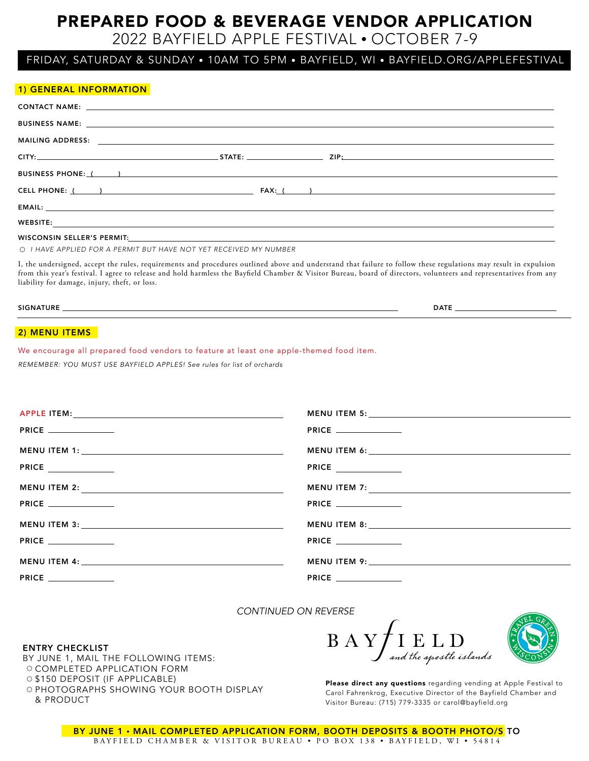# PREPARED FOOD & BEVERAGE VENDOR APPLICATION

# 2022 BAYFIELD APPLE FESTIVAL • OCTOBER 7-9

## FRIDAY, SATURDAY & SUNDAY • 10AM TO 5PM • BAYFIELD, WI • BAYFIELD.ORG/APPLEFESTIVAL

# 1) GENERAL INFORMATION CONTACT NAME: BUSINESS NAME: MAILING ADDRESS: CITY: STATE: ZIP: BUSINESS PHONE: ( ) CELL PHONE: ( ) FAX: ( ) EMAIL: WEBSITE:

### WISCONSIN SELLER'S PERMIT:

*I HAVE APPLIED FOR A PERMIT BUT HAVE NOT YET RECEIVED MY NUMBER*

I, the undersigned, accept the rules, requirements and procedures outlined above and understand that failure to follow these regulations may result in expulsion from this year's festival. I agree to release and hold harmless the Bayfield Chamber & Visitor Bureau, board of directors, volunteers and representatives from any liability for damage, injury, theft, or loss.

#### SIGNATURE DATE

#### 2) MENU ITEMS

We encourage all prepared food vendors to feature at least one apple-themed food item.

*REMEMBER: YOU MUST USE BAYFIELD APPLES! See rules for list of orchards* 

| <b>PRICE</b> ______________ | <b>PRICE</b> _____________ |
|-----------------------------|----------------------------|
|                             |                            |
|                             |                            |
|                             |                            |
| PRICE                       | <b>PRICE</b>               |
|                             |                            |
|                             |                            |

*CONTINUED ON REVERSE*

#### ENTRY CHECKLIST

BY JUNE 1, MAIL THE FOLLOWING ITEMS: O COMPLETED APPLICATION FORM \$150 DEPOSIT (IF APPLICABLE) O PHOTOGRAPHS SHOWING YOUR BOOTH DISPLAY & PRODUCT





Please direct any questions regarding vending at Apple Festival to Carol Fahrenkrog, Executive Director of the Bayfield Chamber and Visitor Bureau: (715) 779-3335 or carol@bayfield.org